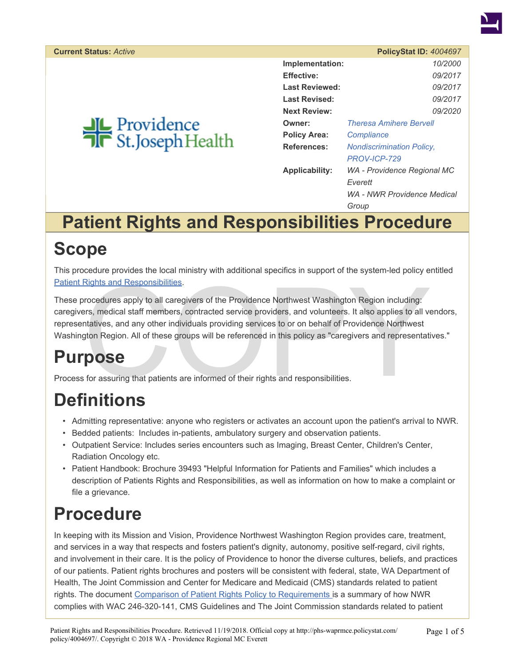<span id="page-0-0"></span>

|                      | PolicyStat ID: 4004697           |  |
|----------------------|----------------------------------|--|
| Implementation:      | 10/2000                          |  |
| <b>Effective:</b>    | 09/2017                          |  |
| Last Reviewed:       | 09/2017                          |  |
| <b>Last Revised:</b> | <i>09/2017</i>                   |  |
| <b>Next Review:</b>  | <i>09/2020</i>                   |  |
| Owner:               | <b>Theresa Amihere Bervell</b>   |  |
| <b>Policy Area:</b>  | Compliance                       |  |
| References:          | <b>Nondiscrimination Policy,</b> |  |
|                      | PROV-ICP-729                     |  |
| Applicability:       | WA - Providence Regional MC      |  |
|                      | Everett                          |  |
|                      | WA - NWR Providence Medical      |  |
|                      | Group                            |  |

# **Patient Rights and Responsibilities Procedure**

### **Scope**

This procedure provides the local ministry with additional specifics in support of the system-led policy entitled [Patient Rights and Responsibilities](https://phs-waprmce.policystat.com/policy/1964110/latest/).

Rights and Responsibilities.<br>
Procedures apply to all caregivers of the Providence Northwest Washington Region including:<br>
First, medical staff members, contracted service providers, and volunteers. It also applies to all These procedures apply to all caregivers of the Providence Northwest Washington Region including: caregivers, medical staff members, contracted service providers, and volunteers. It also applies to all vendors, representatives, and any other individuals providing services to or on behalf of Providence Northwest Washington Region. All of these groups will be referenced in this policy as "caregivers and representatives."

# **Purpose**

Process for assuring that patients are informed of their rights and responsibilities.

# **Definitions**

- Admitting representative: anyone who registers or activates an account upon the patient's arrival to NWR.
- Bedded patients: Includes in-patients, ambulatory surgery and observation patients.
- Outpatient Service: Includes series encounters such as Imaging, Breast Center, Children's Center, Radiation Oncology etc.
- Patient Handbook: Brochure 39493 "Helpful Information for Patients and Families" which includes a description of Patients Rights and Responsibilities, as well as information on how to make a complaint or file a grievance.

# **Procedure**

In keeping with its Mission and Vision, Providence Northwest Washington Region provides care, treatment, and services in a way that respects and fosters patient's dignity, autonomy, positive self-regard, civil rights, and involvement in their care. It is the policy of Providence to honor the diverse cultures, beliefs, and practices of our patients. Patient rights brochures and posters will be consistent with federal, state, WA Department of Health, The Joint Commission and Center for Medicare and Medicaid (CMS) standards related to patient rights. The document [Comparison of Patient Rights Policy to Requirements](https://phs-waprmce.policystat.com/policy/1976333/latest/) is a summary of how NWR complies with WAC 246-320-141, CMS Guidelines and The Joint Commission standards related to patient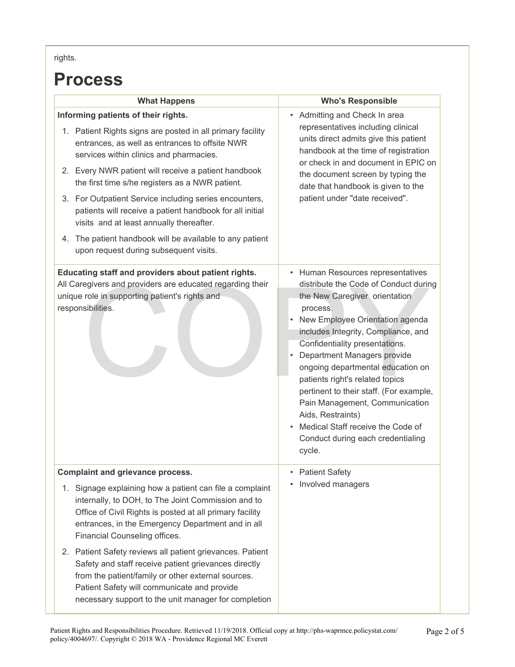rights.

#### **Process**

| <b>What Happens</b>                                                                                                                                                                                                                                                                                                                                                                                                                                                                                                                                                                           | <b>Who's Responsible</b>                                                                                                                                                                                                                                                                                                                                                                                                                                                                                                           |
|-----------------------------------------------------------------------------------------------------------------------------------------------------------------------------------------------------------------------------------------------------------------------------------------------------------------------------------------------------------------------------------------------------------------------------------------------------------------------------------------------------------------------------------------------------------------------------------------------|------------------------------------------------------------------------------------------------------------------------------------------------------------------------------------------------------------------------------------------------------------------------------------------------------------------------------------------------------------------------------------------------------------------------------------------------------------------------------------------------------------------------------------|
| Informing patients of their rights.<br>1. Patient Rights signs are posted in all primary facility<br>entrances, as well as entrances to offsite NWR<br>services within clinics and pharmacies.<br>2. Every NWR patient will receive a patient handbook<br>the first time s/he registers as a NWR patient.<br>3. For Outpatient Service including series encounters,<br>patients will receive a patient handbook for all initial<br>visits and at least annually thereafter.<br>4. The patient handbook will be available to any patient<br>upon request during subsequent visits.             | • Admitting and Check In area<br>representatives including clinical<br>units direct admits give this patient<br>handbook at the time of registration<br>or check in and document in EPIC on<br>the document screen by typing the<br>date that handbook is given to the<br>patient under "date received".                                                                                                                                                                                                                           |
| Educating staff and providers about patient rights.<br>All Caregivers and providers are educated regarding their<br>unique role in supporting patient's rights and<br>responsibilities.                                                                                                                                                                                                                                                                                                                                                                                                       | • Human Resources representatives<br>distribute the Code of Conduct during<br>the New Caregiver orientation<br>process.<br>• New Employee Orientation agenda<br>includes Integrity, Compliance, and<br>Confidentiality presentations.<br>Department Managers provide<br>ongoing departmental education on<br>patients right's related topics<br>pertinent to their staff. (For example,<br>Pain Management, Communication<br>Aids, Restraints)<br>Medical Staff receive the Code of<br>Conduct during each credentialing<br>cycle. |
| <b>Complaint and grievance process.</b><br>1. Signage explaining how a patient can file a complaint<br>internally, to DOH, to The Joint Commission and to<br>Office of Civil Rights is posted at all primary facility<br>entrances, in the Emergency Department and in all<br>Financial Counseling offices.<br>2. Patient Safety reviews all patient grievances. Patient<br>Safety and staff receive patient grievances directly<br>from the patient/family or other external sources.<br>Patient Safety will communicate and provide<br>necessary support to the unit manager for completion | <b>Patient Safety</b><br>Involved managers                                                                                                                                                                                                                                                                                                                                                                                                                                                                                         |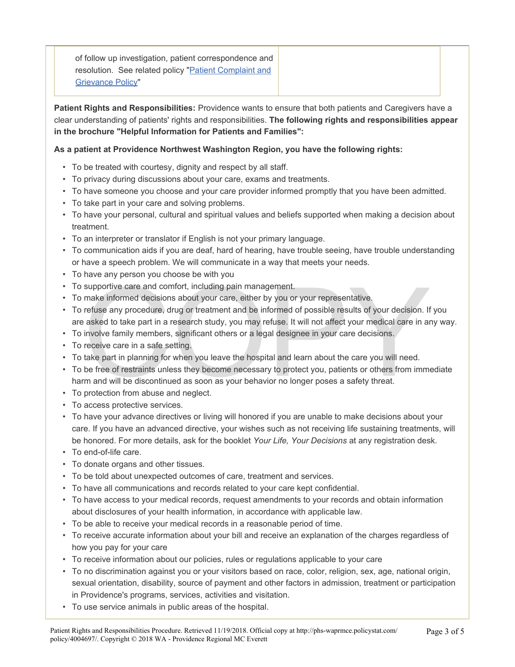of follow up investigation, patient correspondence and resolution. See related policy ["Patient Complaint and](https://phs-waprmce.policystat.com/policy/1973870/latest/?z=eyJpIjowLCJtIjoidHlwZWFoZWFkIiwidCI6MTQ4NjAwMjgyMzU3NywidyI6WyJwYXRpZW50IiwiY29tcGxhIl19) [Grievance Policy"](https://phs-waprmce.policystat.com/policy/1973870/latest/?z=eyJpIjowLCJtIjoidHlwZWFoZWFkIiwidCI6MTQ4NjAwMjgyMzU3NywidyI6WyJwYXRpZW50IiwiY29tcGxhIl19)

**Patient Rights and Responsibilities:** Providence wants to ensure that both patients and Caregivers have a clear understanding of patients' rights and responsibilities. **The following rights and responsibilities appear in the brochure "Helpful Information for Patients and Families":**

**As a patient at Providence Northwest Washington Region, you have the following rights:**

- To be treated with courtesy, dignity and respect by all staff.
- To privacy during discussions about your care, exams and treatments.
- To have someone you choose and your care provider informed promptly that you have been admitted.
- To take part in your care and solving problems.
- To have your personal, cultural and spiritual values and beliefs supported when making a decision about treatment.
- To an interpreter or translator if English is not your primary language.
- To communication aids if you are deaf, hard of hearing, have trouble seeing, have trouble understanding or have a speech problem. We will communicate in a way that meets your needs.
- To have any person you choose be with you
- To supportive care and comfort, including pain management.
- To make informed decisions about your care, either by you or your representative.
- supportive care and comfort, including pain management.<br>
make informed decisions about your care, either by you or your representative.<br>
refuse any procedure, drug or treatment and be informed of possible results of your d • To refuse any procedure, drug or treatment and be informed of possible results of your decision. If you are asked to take part in a research study, you may refuse. It will not affect your medical care in any way.
- To involve family members, significant others or a legal designee in your care decisions.
- To receive care in a safe setting.
- To take part in planning for when you leave the hospital and learn about the care you will need.
- To be free of restraints unless they become necessary to protect you, patients or others from immediate harm and will be discontinued as soon as your behavior no longer poses a safety threat.
- To protection from abuse and neglect.
- To access protective services.
- To have your advance directives or living will honored if you are unable to make decisions about your care. If you have an advanced directive, your wishes such as not receiving life sustaining treatments, will be honored. For more details, ask for the booklet *Your Life, Your Decisions* at any registration desk.
- To end-of-life care.
- To donate organs and other tissues.
- To be told about unexpected outcomes of care, treatment and services.
- To have all communications and records related to your care kept confidential.
- To have access to your medical records, request amendments to your records and obtain information about disclosures of your health information, in accordance with applicable law.
- To be able to receive your medical records in a reasonable period of time.
- To receive accurate information about your bill and receive an explanation of the charges regardless of how you pay for your care
- To receive information about our policies, rules or regulations applicable to your care
- To no discrimination against you or your visitors based on race, color, religion, sex, age, national origin, sexual orientation, disability, source of payment and other factors in admission, treatment or participation in Providence's programs, services, activities and visitation.
- To use service animals in public areas of the hospital.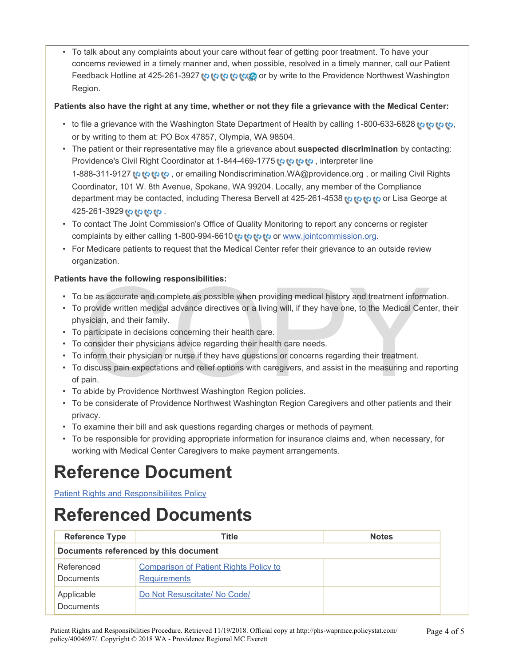• To talk about any complaints about your care without fear of getting poor treatment. To have your concerns reviewed in a timely manner and, when possible, resolved in a timely manner, call our Patient Feedback Hotline at 425-261-3927 to to the to by write to the Providence Northwest Washington Region.

#### **Patients also have the right at any time, whether or not they file a grievance with the Medical Center:**

- to file a grievance with the Washington State Department of Health by calling 1-800-633-6828 to to to[,](#page-0-0) to or by writing to them at: PO Box 47857, Olympia, WA 98504.
- The patient or their representative may file a grievance about **suspected discrimination** by contacting: Providence's Civil Right Coordinator at 1-844-469-177[5](#page-0-0) to to to the interpreter line

1-888-311-9127 or emailing Nondiscrimination.WA@providence.org, or mailing Civil Rights Coordinator, 101 W. 8th Avenue, Spokane, WA 99204. Locally, any member of the Compliance department may be contacted, including Theresa Bervell at 425-261-4538 to to the to or Lisa George at 425-261-392[9](#page-0-0) .

- To contact The Joint Commission's Office of Quality Monitoring to report any concerns or register complaints by either calling 1-8[0](#page-0-0)0-994-6610 to to to the [www.jointcommission.org.](http://www.jointcommission.org/)
- For Medicare patients to request that the Medical Center refer their grievance to an outside review organization.

#### **Patients have the following responsibilities:**

- To be as accurate and complete as possible when providing medical history and treatment information.
- To provide written medical advance directives or a living will, if they have one, to the Medical Center, their physician, and their family.
- To participate in decisions concerning their health care.
- To consider their physicians advice regarding their health care needs.
- To inform their physician or nurse if they have questions or concerns regarding their treatment.
- s have the following responsibilities:<br>be as accurate and complete as possible when providing medical history and treatment informa<br>provide written medical advance directives or a living will, if they have one, to the Medi • To discuss pain expectations and relief options with caregivers, and assist in the measuring and reporting of pain.
- To abide by Providence Northwest Washington Region policies.
- To be considerate of Providence Northwest Washington Region Caregivers and other patients and their privacy.
- To examine their bill and ask questions regarding charges or methods of payment.
- To be responsible for providing appropriate information for insurance claims and, when necessary, for working with Medical Center Caregivers to make payment arrangements.

## **Reference Document**

[Patient Rights and Responsibiliites Policy](https://phs-waprmce.policystat.com/policy/1964110/latest/)

### **Referenced Documents**

| <b>Reference Type</b>                 | <b>Title</b>                                                         | <b>Notes</b> |  |  |
|---------------------------------------|----------------------------------------------------------------------|--------------|--|--|
| Documents referenced by this document |                                                                      |              |  |  |
| Referenced<br><b>Documents</b>        | <b>Comparison of Patient Rights Policy to</b><br><b>Requirements</b> |              |  |  |
| Applicable<br><b>Documents</b>        | Do Not Resuscitate/ No Code/                                         |              |  |  |